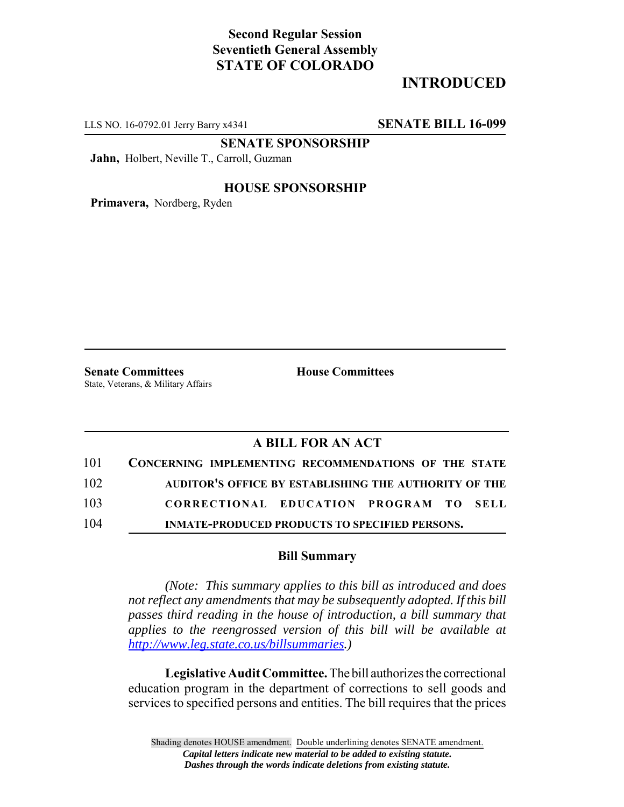# **Second Regular Session Seventieth General Assembly STATE OF COLORADO**

# **INTRODUCED**

LLS NO. 16-0792.01 Jerry Barry x4341 **SENATE BILL 16-099**

**SENATE SPONSORSHIP**

**Jahn,** Holbert, Neville T., Carroll, Guzman

### **HOUSE SPONSORSHIP**

**Primavera,** Nordberg, Ryden

**Senate Committees House Committees** State, Veterans, & Military Affairs

### **A BILL FOR AN ACT**

| 101 | CONCERNING IMPLEMENTING RECOMMENDATIONS OF THE STATE  |
|-----|-------------------------------------------------------|
| 102 | AUDITOR'S OFFICE BY ESTABLISHING THE AUTHORITY OF THE |
| 103 | CORRECTIONAL EDUCATION PROGRAM TO SELL                |
| 104 | <b>INMATE-PRODUCED PRODUCTS TO SPECIFIED PERSONS.</b> |

#### **Bill Summary**

*(Note: This summary applies to this bill as introduced and does not reflect any amendments that may be subsequently adopted. If this bill passes third reading in the house of introduction, a bill summary that applies to the reengrossed version of this bill will be available at http://www.leg.state.co.us/billsummaries.)*

**Legislative Audit Committee.** The bill authorizes the correctional education program in the department of corrections to sell goods and services to specified persons and entities. The bill requires that the prices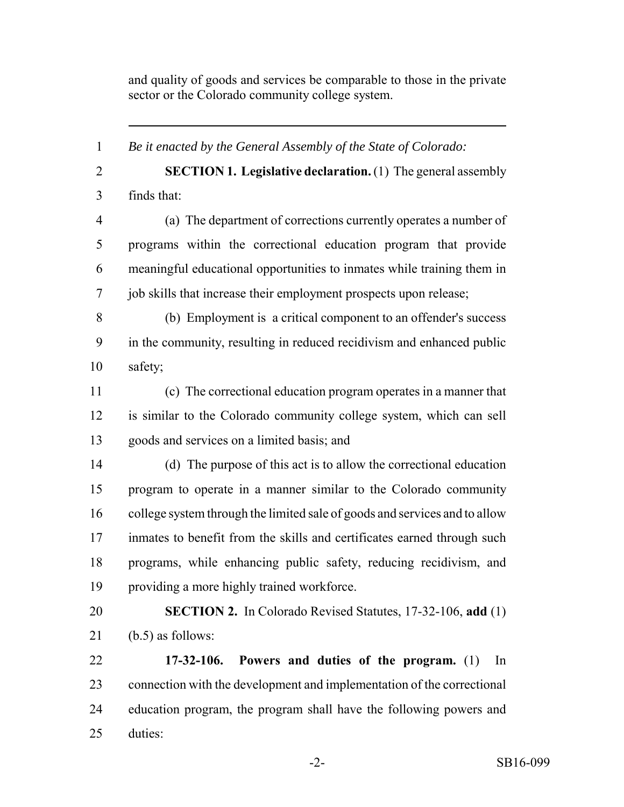and quality of goods and services be comparable to those in the private sector or the Colorado community college system.

 *Be it enacted by the General Assembly of the State of Colorado:* **SECTION 1. Legislative declaration.** (1) The general assembly finds that: (a) The department of corrections currently operates a number of programs within the correctional education program that provide meaningful educational opportunities to inmates while training them in job skills that increase their employment prospects upon release; (b) Employment is a critical component to an offender's success in the community, resulting in reduced recidivism and enhanced public safety; (c) The correctional education program operates in a manner that is similar to the Colorado community college system, which can sell goods and services on a limited basis; and (d) The purpose of this act is to allow the correctional education program to operate in a manner similar to the Colorado community college system through the limited sale of goods and services and to allow inmates to benefit from the skills and certificates earned through such programs, while enhancing public safety, reducing recidivism, and providing a more highly trained workforce. **SECTION 2.** In Colorado Revised Statutes, 17-32-106, **add** (1) 21 (b.5) as follows: **17-32-106. Powers and duties of the program.** (1) In connection with the development and implementation of the correctional education program, the program shall have the following powers and duties: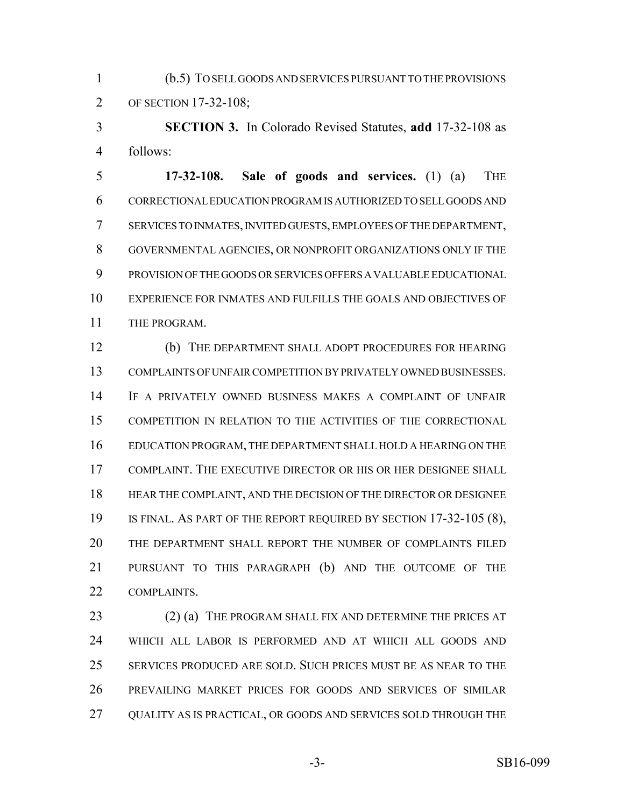(b.5) TO SELL GOODS AND SERVICES PURSUANT TO THE PROVISIONS OF SECTION 17-32-108;

 **SECTION 3.** In Colorado Revised Statutes, **add** 17-32-108 as follows:

 **17-32-108. Sale of goods and services.** (1) (a) THE CORRECTIONAL EDUCATION PROGRAM IS AUTHORIZED TO SELL GOODS AND SERVICES TO INMATES, INVITED GUESTS, EMPLOYEES OF THE DEPARTMENT, GOVERNMENTAL AGENCIES, OR NONPROFIT ORGANIZATIONS ONLY IF THE PROVISION OF THE GOODS OR SERVICES OFFERS A VALUABLE EDUCATIONAL EXPERIENCE FOR INMATES AND FULFILLS THE GOALS AND OBJECTIVES OF THE PROGRAM.

 (b) THE DEPARTMENT SHALL ADOPT PROCEDURES FOR HEARING COMPLAINTS OF UNFAIR COMPETITION BY PRIVATELY OWNED BUSINESSES. IF A PRIVATELY OWNED BUSINESS MAKES A COMPLAINT OF UNFAIR COMPETITION IN RELATION TO THE ACTIVITIES OF THE CORRECTIONAL EDUCATION PROGRAM, THE DEPARTMENT SHALL HOLD A HEARING ON THE COMPLAINT. THE EXECUTIVE DIRECTOR OR HIS OR HER DESIGNEE SHALL HEAR THE COMPLAINT, AND THE DECISION OF THE DIRECTOR OR DESIGNEE 19 IS FINAL. AS PART OF THE REPORT REQUIRED BY SECTION 17-32-105 (8), THE DEPARTMENT SHALL REPORT THE NUMBER OF COMPLAINTS FILED PURSUANT TO THIS PARAGRAPH (b) AND THE OUTCOME OF THE COMPLAINTS.

23 (2) (a) THE PROGRAM SHALL FIX AND DETERMINE THE PRICES AT WHICH ALL LABOR IS PERFORMED AND AT WHICH ALL GOODS AND SERVICES PRODUCED ARE SOLD. SUCH PRICES MUST BE AS NEAR TO THE PREVAILING MARKET PRICES FOR GOODS AND SERVICES OF SIMILAR QUALITY AS IS PRACTICAL, OR GOODS AND SERVICES SOLD THROUGH THE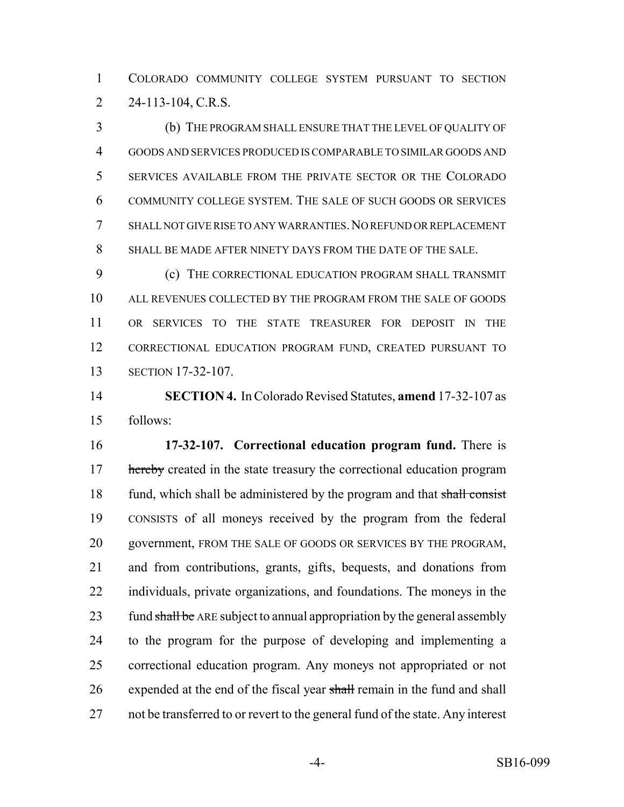COLORADO COMMUNITY COLLEGE SYSTEM PURSUANT TO SECTION 2 24-113-104, C.R.S.

 (b) THE PROGRAM SHALL ENSURE THAT THE LEVEL OF QUALITY OF GOODS AND SERVICES PRODUCED IS COMPARABLE TO SIMILAR GOODS AND SERVICES AVAILABLE FROM THE PRIVATE SECTOR OR THE COLORADO COMMUNITY COLLEGE SYSTEM. THE SALE OF SUCH GOODS OR SERVICES SHALL NOT GIVE RISE TO ANY WARRANTIES.NO REFUND OR REPLACEMENT SHALL BE MADE AFTER NINETY DAYS FROM THE DATE OF THE SALE.

 (c) THE CORRECTIONAL EDUCATION PROGRAM SHALL TRANSMIT ALL REVENUES COLLECTED BY THE PROGRAM FROM THE SALE OF GOODS OR SERVICES TO THE STATE TREASURER FOR DEPOSIT IN THE CORRECTIONAL EDUCATION PROGRAM FUND, CREATED PURSUANT TO SECTION 17-32-107.

 **SECTION 4.** In Colorado Revised Statutes, **amend** 17-32-107 as follows:

 **17-32-107. Correctional education program fund.** There is 17 hereby created in the state treasury the correctional education program 18 fund, which shall be administered by the program and that shall consist CONSISTS of all moneys received by the program from the federal government, FROM THE SALE OF GOODS OR SERVICES BY THE PROGRAM, and from contributions, grants, gifts, bequests, and donations from individuals, private organizations, and foundations. The moneys in the 23 fund shall be ARE subject to annual appropriation by the general assembly to the program for the purpose of developing and implementing a correctional education program. Any moneys not appropriated or not 26 expended at the end of the fiscal year shall remain in the fund and shall not be transferred to or revert to the general fund of the state. Any interest